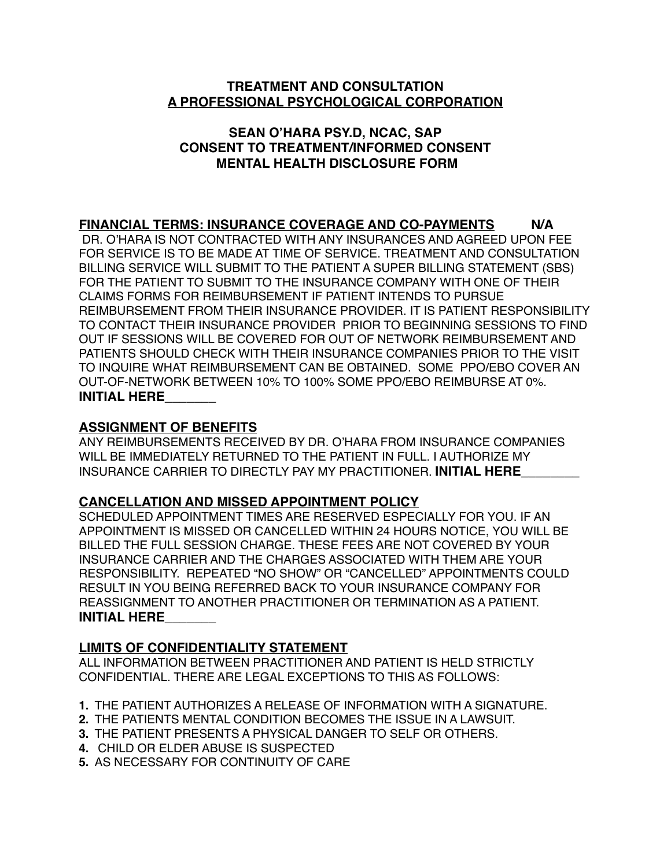## **TREATMENT AND CONSULTATION A PROFESSIONAL PSYCHOLOGICAL CORPORATION**

## **SEAN O'HARA PSY.D, NCAC, SAP CONSENT TO TREATMENT/INFORMED CONSENT MENTAL HEALTH DISCLOSURE FORM**

# **FINANCIAL TERMS: INSURANCE COVERAGE AND CO-PAYMENTS N/A**

 DR. O'HARA IS NOT CONTRACTED WITH ANY INSURANCES AND AGREED UPON FEE FOR SERVICE IS TO BE MADE AT TIME OF SERVICE. TREATMENT AND CONSULTATION BILLING SERVICE WILL SUBMIT TO THE PATIENT A SUPER BILLING STATEMENT (SBS) FOR THE PATIENT TO SUBMIT TO THE INSURANCE COMPANY WITH ONE OF THEIR CLAIMS FORMS FOR REIMBURSEMENT IF PATIENT INTENDS TO PURSUE REIMBURSEMENT FROM THEIR INSURANCE PROVIDER. IT IS PATIENT RESPONSIBILITY TO CONTACT THEIR INSURANCE PROVIDER PRIOR TO BEGINNING SESSIONS TO FIND OUT IF SESSIONS WILL BE COVERED FOR OUT OF NETWORK REIMBURSEMENT AND PATIENTS SHOULD CHECK WITH THEIR INSURANCE COMPANIES PRIOR TO THE VISIT TO INQUIRE WHAT REIMBURSEMENT CAN BE OBTAINED. SOME PPO/EBO COVER AN OUT-OF-NETWORK BETWEEN 10% TO 100% SOME PPO/EBO REIMBURSE AT 0%. **INITIAL HERE\_\_\_\_\_\_\_** 

## **ASSIGNMENT OF BENEFITS**

ANY REIMBURSEMENTS RECEIVED BY DR. O'HARA FROM INSURANCE COMPANIES WILL BE IMMEDIATELY RETURNED TO THE PATIENT IN FULL. I AUTHORIZE MY INSURANCE CARRIER TO DIRECTLY PAY MY PRACTITIONER. **INITIAL HERE\_\_\_\_\_\_\_\_** 

# **CANCELLATION AND MISSED APPOINTMENT POLICY**

SCHEDULED APPOINTMENT TIMES ARE RESERVED ESPECIALLY FOR YOU. IF AN APPOINTMENT IS MISSED OR CANCELLED WITHIN 24 HOURS NOTICE, YOU WILL BE BILLED THE FULL SESSION CHARGE. THESE FEES ARE NOT COVERED BY YOUR INSURANCE CARRIER AND THE CHARGES ASSOCIATED WITH THEM ARE YOUR RESPONSIBILITY. REPEATED "NO SHOW" OR "CANCELLED" APPOINTMENTS COULD RESULT IN YOU BEING REFERRED BACK TO YOUR INSURANCE COMPANY FOR REASSIGNMENT TO ANOTHER PRACTITIONER OR TERMINATION AS A PATIENT. **INITIAL HERE\_\_\_\_\_\_\_** 

# **LIMITS OF CONFIDENTIALITY STATEMENT**

ALL INFORMATION BETWEEN PRACTITIONER AND PATIENT IS HELD STRICTLY CONFIDENTIAL. THERE ARE LEGAL EXCEPTIONS TO THIS AS FOLLOWS:

- **1.** THE PATIENT AUTHORIZES A RELEASE OF INFORMATION WITH A SIGNATURE.
- **2.** THE PATIENTS MENTAL CONDITION BECOMES THE ISSUE IN A LAWSUIT.
- **3.** THE PATIENT PRESENTS A PHYSICAL DANGER TO SELF OR OTHERS.
- **4.** CHILD OR ELDER ABUSE IS SUSPECTED
- **5.** AS NECESSARY FOR CONTINUITY OF CARE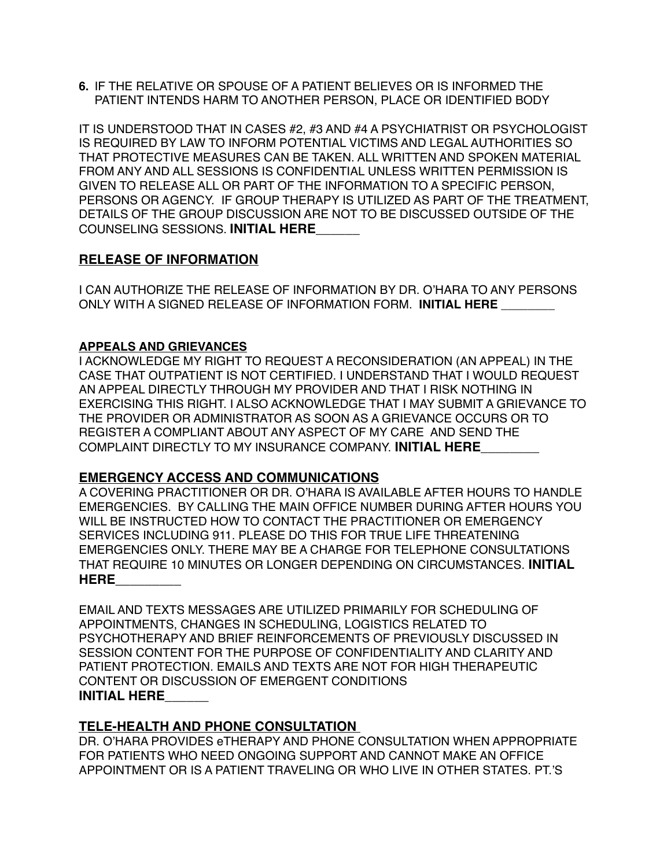**6.** IF THE RELATIVE OR SPOUSE OF A PATIENT BELIEVES OR IS INFORMED THE PATIENT INTENDS HARM TO ANOTHER PERSON, PLACE OR IDENTIFIED BODY

IT IS UNDERSTOOD THAT IN CASES #2, #3 AND #4 A PSYCHIATRIST OR PSYCHOLOGIST IS REQUIRED BY LAW TO INFORM POTENTIAL VICTIMS AND LEGAL AUTHORITIES SO THAT PROTECTIVE MEASURES CAN BE TAKEN. ALL WRITTEN AND SPOKEN MATERIAL FROM ANY AND ALL SESSIONS IS CONFIDENTIAL UNLESS WRITTEN PERMISSION IS GIVEN TO RELEASE ALL OR PART OF THE INFORMATION TO A SPECIFIC PERSON, PERSONS OR AGENCY. IF GROUP THERAPY IS UTILIZED AS PART OF THE TREATMENT, DETAILS OF THE GROUP DISCUSSION ARE NOT TO BE DISCUSSED OUTSIDE OF THE COUNSELING SESSIONS. **INITIAL HERE\_\_\_\_\_\_** 

## **RELEASE OF INFORMATION**

I CAN AUTHORIZE THE RELEASE OF INFORMATION BY DR. O'HARA TO ANY PERSONS ONLY WITH A SIGNED RELEASE OF INFORMATION FORM. INITIAL HERE

#### **APPEALS AND GRIEVANCES**

I ACKNOWLEDGE MY RIGHT TO REQUEST A RECONSIDERATION (AN APPEAL) IN THE CASE THAT OUTPATIENT IS NOT CERTIFIED. I UNDERSTAND THAT I WOULD REQUEST AN APPEAL DIRECTLY THROUGH MY PROVIDER AND THAT I RISK NOTHING IN EXERCISING THIS RIGHT. I ALSO ACKNOWLEDGE THAT I MAY SUBMIT A GRIEVANCE TO THE PROVIDER OR ADMINISTRATOR AS SOON AS A GRIEVANCE OCCURS OR TO REGISTER A COMPLIANT ABOUT ANY ASPECT OF MY CARE AND SEND THE COMPLAINT DIRECTLY TO MY INSURANCE COMPANY. **INITIAL HERE\_\_\_\_\_\_\_\_** 

## **EMERGENCY ACCESS AND COMMUNICATIONS**

A COVERING PRACTITIONER OR DR. O'HARA IS AVAILABLE AFTER HOURS TO HANDLE EMERGENCIES. BY CALLING THE MAIN OFFICE NUMBER DURING AFTER HOURS YOU WILL BE INSTRUCTED HOW TO CONTACT THE PRACTITIONER OR EMERGENCY SERVICES INCLUDING 911. PLEASE DO THIS FOR TRUE LIFE THREATENING EMERGENCIES ONLY. THERE MAY BE A CHARGE FOR TELEPHONE CONSULTATIONS THAT REQUIRE 10 MINUTES OR LONGER DEPENDING ON CIRCUMSTANCES. **INITIAL HERE\_\_\_\_\_\_\_\_\_** 

| EMAIL AND TEXTS MESSAGES ARE UTILIZED PRIMARILY FOR SCHEDULING OF  |
|--------------------------------------------------------------------|
| APPOINTMENTS, CHANGES IN SCHEDULING, LOGISTICS RELATED TO          |
| PSYCHOTHERAPY AND BRIEF REINFORCEMENTS OF PREVIOUSLY DISCUSSED IN  |
| SESSION CONTENT FOR THE PURPOSE OF CONFIDENTIALITY AND CLARITY AND |
| PATIENT PROTECTION. EMAILS AND TEXTS ARE NOT FOR HIGH THERAPEUTIC  |
| CONTENT OR DISCUSSION OF EMERGENT CONDITIONS                       |
| <b>INITIAL HERE</b>                                                |

## **TELE-HEALTH AND PHONE CONSULTATION**

DR. O'HARA PROVIDES eTHERAPY AND PHONE CONSULTATION WHEN APPROPRIATE FOR PATIENTS WHO NEED ONGOING SUPPORT AND CANNOT MAKE AN OFFICE APPOINTMENT OR IS A PATIENT TRAVELING OR WHO LIVE IN OTHER STATES. PT.'S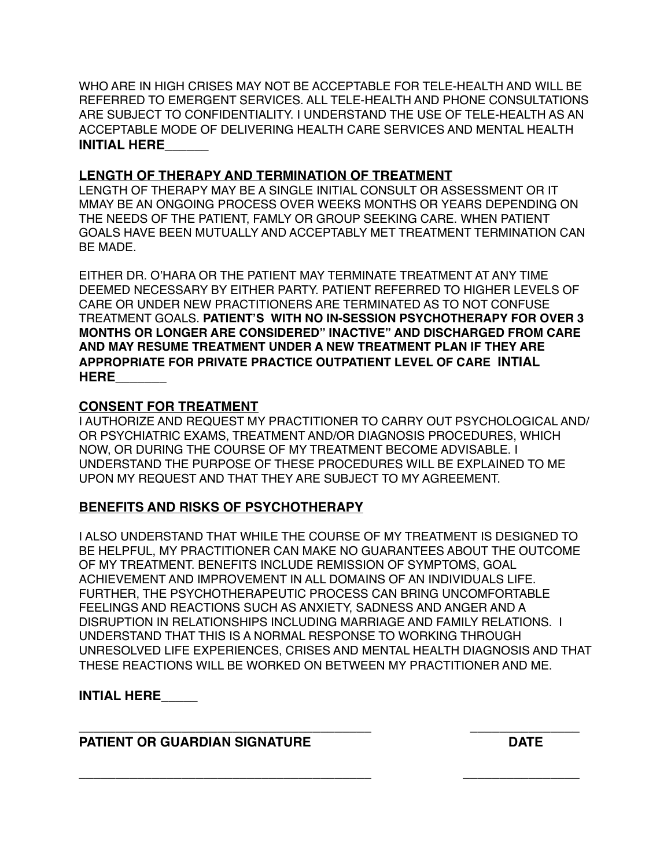| WHO ARE IN HIGH CRISES MAY NOT BE ACCEPTABLE FOR TELE-HEALTH AND WILL BE  |
|---------------------------------------------------------------------------|
| REFERRED TO EMERGENT SERVICES. ALL TELE-HEALTH AND PHONE CONSULTATIONS    |
| ARE SUBJECT TO CONFIDENTIALITY. I UNDERSTAND THE USE OF TELE-HEALTH AS AN |
| ACCEPTABLE MODE OF DELIVERING HEALTH CARE SERVICES AND MENTAL HEALTH      |
| <b>INITIAL HERE</b>                                                       |

## **LENGTH OF THERAPY AND TERMINATION OF TREATMENT**

LENGTH OF THERAPY MAY BE A SINGLE INITIAL CONSULT OR ASSESSMENT OR IT MMAY BE AN ONGOING PROCESS OVER WEEKS MONTHS OR YEARS DEPENDING ON THE NEEDS OF THE PATIENT, FAMLY OR GROUP SEEKING CARE. WHEN PATIENT GOALS HAVE BEEN MUTUALLY AND ACCEPTABLY MET TREATMENT TERMINATION CAN BE MADE.

EITHER DR. O'HARA OR THE PATIENT MAY TERMINATE TREATMENT AT ANY TIME DEEMED NECESSARY BY EITHER PARTY. PATIENT REFERRED TO HIGHER LEVELS OF CARE OR UNDER NEW PRACTITIONERS ARE TERMINATED AS TO NOT CONFUSE TREATMENT GOALS. **PATIENT'S WITH NO IN-SESSION PSYCHOTHERAPY FOR OVER 3 MONTHS OR LONGER ARE CONSIDERED" INACTIVE" AND DISCHARGED FROM CARE AND MAY RESUME TREATMENT UNDER A NEW TREATMENT PLAN IF THEY ARE APPROPRIATE FOR PRIVATE PRACTICE OUTPATIENT LEVEL OF CARE INTIAL HERE\_\_\_\_\_\_\_**

## **CONSENT FOR TREATMENT**

I AUTHORIZE AND REQUEST MY PRACTITIONER TO CARRY OUT PSYCHOLOGICAL AND/ OR PSYCHIATRIC EXAMS, TREATMENT AND/OR DIAGNOSIS PROCEDURES, WHICH NOW, OR DURING THE COURSE OF MY TREATMENT BECOME ADVISABLE. I UNDERSTAND THE PURPOSE OF THESE PROCEDURES WILL BE EXPLAINED TO ME UPON MY REQUEST AND THAT THEY ARE SUBJECT TO MY AGREEMENT.

## **BENEFITS AND RISKS OF PSYCHOTHERAPY**

I ALSO UNDERSTAND THAT WHILE THE COURSE OF MY TREATMENT IS DESIGNED TO BE HELPFUL, MY PRACTITIONER CAN MAKE NO GUARANTEES ABOUT THE OUTCOME OF MY TREATMENT. BENEFITS INCLUDE REMISSION OF SYMPTOMS, GOAL ACHIEVEMENT AND IMPROVEMENT IN ALL DOMAINS OF AN INDIVIDUALS LIFE. FURTHER, THE PSYCHOTHERAPEUTIC PROCESS CAN BRING UNCOMFORTABLE FEELINGS AND REACTIONS SUCH AS ANXIETY, SADNESS AND ANGER AND A DISRUPTION IN RELATIONSHIPS INCLUDING MARRIAGE AND FAMILY RELATIONS. I UNDERSTAND THAT THIS IS A NORMAL RESPONSE TO WORKING THROUGH UNRESOLVED LIFE EXPERIENCES, CRISES AND MENTAL HEALTH DIAGNOSIS AND THAT THESE REACTIONS WILL BE WORKED ON BETWEEN MY PRACTITIONER AND ME.

**\_\_\_\_\_\_\_\_\_\_\_\_\_\_\_\_\_\_\_\_\_\_\_\_\_\_\_\_\_\_\_\_\_\_\_\_\_\_\_\_ \_\_\_\_\_\_\_\_\_\_\_\_\_\_\_\_** 

# **INTIAL HERE\_\_\_\_\_**

#### **\_\_\_\_\_\_\_\_\_\_\_\_\_\_\_\_\_\_\_\_\_\_\_\_\_\_\_\_\_\_\_\_\_\_\_\_\_\_\_\_ \_\_\_\_\_\_\_\_\_\_\_\_\_\_\_ PATIENT OR GUARDIAN SIGNATURE DATE DATE**